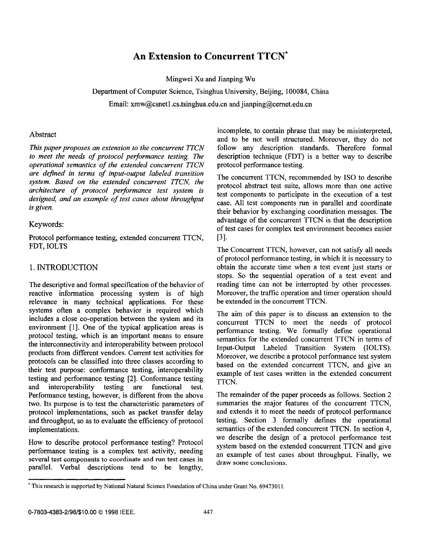# **An Extension to Concurrent TTCN\***

Mingwei Xu and Jianping Wu

Department of Computer Science, Tsinghua University, Beijing, 100084, China

Email: xmw@csnet1.cs.tsinghua.edu.cn and jianping@cernet.edu.cn

### **Abstract**

*This paper proposes an extension to the concurrent TTCN to meet the needs of protocol performance testing. The operational semantics of the extended concurrent TTCN are defined in terms of input-output labeled transition system. Based on the extended concurrent TTCN, the architecture of protocol performance test system is designed, and an example of test cases about throughput is given.* 

#### Keywords:

Protocol performance testing, extended concurrent TTCN, **FDT',** IOLTS

# 1. INTRODUCTION

The descriptive and formal specification of the behavior of reactive information processing system is of high relevance in many technical applications. For these systems often a complex behavior is required which includes a close co-operation between the system and its environment [I]. One of the typical application areas is protocol testing, which is an important means to ensure the interconnectivity and interoperability between protocol products from different vendors. Current test activities for protocols can be classified into three classes according to their test purpose: conformance testing, interoperability testing and performance testing [2]. Conformance testing<br>and interoperability testing are functional test. and interoperability testing are functional test. Performance testing, however, is different from the above two. Its purpose is to test the characteristic parameters of protocol implementations, such as packet transfer delay and throughput, so as to evaluate the efficiency of protocol implementations.

How to describe protocol performance testing? Protocol performance testing is a complex test activity, needing several test components to coordinate and run test cases in parallel. Verbal descriptions tend to be lengthy,

incomplete, to contain phrase that may be misinterpreted, and to be not well structured. Moreover, they do not follow any description standards. Therefore formal description technique (FDT) is a better way to describe protocol performance testing.

The concurrent TTCN, recommended by ISO to describe protocol abstract test suite, allows more than one active test components to participate in the execution of a test case. **All** test components run in parallel and coordinate their behavior by exchanging coordination messages. The advantage of the concurrent TTCN is that the description of test cases for complex test environment becomes easier ~31.

The Concurrent TTCN, however, can not satisfy all needs of protocol performance testing, in which it is necessary to obtain the accurate time when a test event just starts or stops. *So* the sequential operation of a test event and reading time can not be interrupted by other processes. Moreover, the traffic operation and timer operation should be extended in the concurrent TTCN.

The aim of this paper is to discuss an extension to the concurrent TTCN to meet the needs of protocol performance testing. We formally define operational semantics for the extended concurrent TTCN in terms of Input-Output Labeled Transition System (IOLTS). Moreover, we describe a protocol performance test system based on the extended concurrent TTCN, and give an example of test cases written in the extended concurrent TTCN.

The remainder of the paper proceeds as follows. Section 2 summaries the major features of the concurrent TTCN, and extends it to meet the needs of protocol performance testing. Section *3* formally defines the operational semantics of the extended concurrent TTCN. In section 4, we describe the design of a protocol performance test system based on the extended concurrent TTCN and give an example of test cases about throughput. Finally, we draw some conclusions.

<sup>\*</sup> This research is supported by National Natural Science Foundation of China under Grant No. 6947301 1.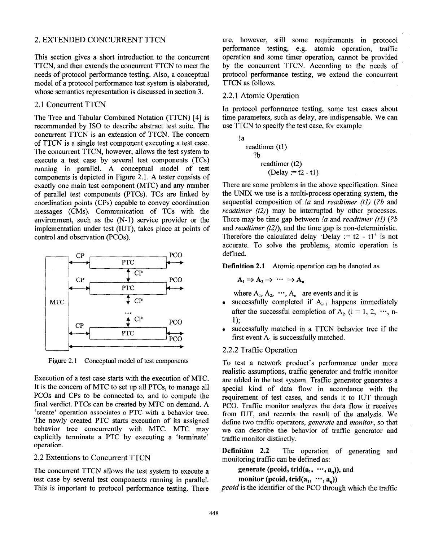### 2. EXTENDED CONCURRENT TTCN

This section gives a short introduction to the concurrent TTCN, and then extends the concurrent TTCN to meet the needs of protocol performance testing. Also, a conceptual model of a protocol performance test system is elaborated, whose semantics representation is discussed in section **3.** 

### 2.1 Concurrent TTCN

The Tree and Tabular Combined Notation (TTCN) [4] is recommended by IS0 to describe abstract test suite. The concurrent TTCN is an extension of TTCN. The concern of TTCN is a single test component executing a test case. The concurrent TTCN, however, allows the test system to execute a test case by several test components (TCs) running in parallel. A conceptual model of test components is depicted in Figure 2.1. A tester consists of exactly one main test component (MTC) and any number of parallel test components (PTCs). TCs are linked by coordination points (CPs) capable to convey coordination messages (CMs). Communication of TCs with the environment, such as the (N-1) service provider or the implementation under test (IUT), takes place at points of control and observation (PCOs). DED COOK URRENT ITCN para however, still some requirements in process<br>
the phys a short introduction to the constraint operation basis, e.g., universe, meaning the material constraints be presented to the constraints of t



Figure **2.1** Conceptual model of test components

Execution of a test case starts with the execution of MTC. It is the concern of MTC to set up all PTCs, to manage all PCOs and CPs to be connected to, and to compute the final verdict. PTCs can be created by MTC on demand. A 'create' operation **associates** a PTC **with a** behavior **tree.**  The newly created PTC starts execution of its assigned behavior tree concurrently with MTC. MTC may explicitly terminate a PTC by executing a 'terminate' operation.

# 2.2 Extentions to Concurrent TTCN

The concurrent TTCN allows the test system to execute a test case by several test components running in parallel. This is important to protocol performance testing. There

are, however, still some requirements in protocol performance testing, e.g. atomic operation, traffic operation and some timer operation, cannot be provided by the concurrent TTCN. According to the needs of protocol performance testing, we extend the concurrent TTCN as follows.

### 2.2.1 Atomic Operation

In protocol performance testing, some test cases about time parameters, such as delay, are indispensable. We can use TTCN to specify the test case, for example

!a readtimer (tl) ?b readtimer (t2) (Delay := t2 - tl)

There are some problems in the above specification. Since the UNIX we use is a multi-process operating system, the sequential composition of *!a* and *readtimer (tl) (?b* and *readtimer (t2)*) may be interrupted by other processes. There may be time gap between *!a* and *readtimer (tl) (?b*  and *readtimer (t2)),* and the time gap is non-deterministic. Therefore the calculated delay 'Delay  $:= t2 - t1$ ' is not accurate. To solve the problems, atomic operation is defined.

**Definition 2.1** Atomic operation can be denoted as

$$
A_1 \Rightarrow A_2 \Rightarrow \cdots \Rightarrow A_n
$$

where  $A_1, A_2, \dots, A_n$  are events and it is

- successfully completed if  $A_{i+1}$  happens immediately after the successful completion of  $A_i$ , (i = 1, 2, ..., n-<sup>1</sup>>;
- successfully matched in a TTCN behavior tree if the first event  $A_1$  is successfully matched.

# 2.2.2 Traffic Operation

To test a network product's performance under more realistic assumptions, traffic generator and traffic monitor are added in the test system. Traffic generator generates a special kind of data flow in accordance with the requirement of test cases, and sends it to IUT through PCO. Traffic monitor analyzes the data flow it receives from IUT, and records the result of the analysis. We define two traffic operators, *generate* and *monitor, so* that we can describe the behavior of traffic generator and traffic monitor distinctly.

**Definition 2.2** The operation of generating and monitoring traffic can be defined as:

**generate (pcoid, trid(a<sub>1</sub>,**  $\cdots$ **, a<sub>q</sub>)), and** 

**monitor** (pcoid, trid $(a_1, \dots, a_n)$ )

*pcoid* is the identifier of the PCO through which the traffic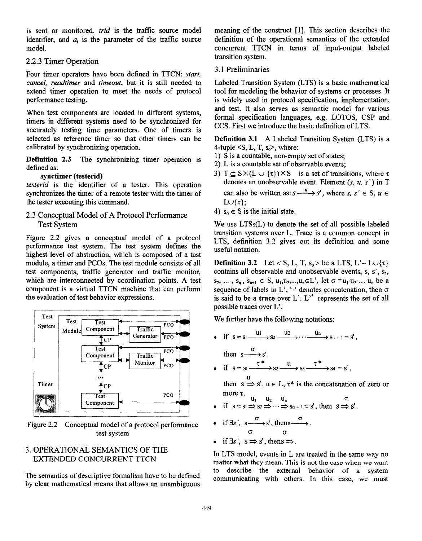<span id="page-2-0"></span>is sent or monitored. *trid* is the traffic source model identifier, and  $a_i$  is the parameter of the traffic source model.

**2.2.3** Timer Operation

Four timer operators have been defined in TTCN: *start, cancel, readtimer* and *timeout,* but it is still needed to extend timer operation to meet the needs of protocol performance testing.

When test components are located in different systems, timers in different systems need to be synchronized for accurately testing time parameters. One of timers is selected as reference timer so that other timers can be calibrated by synchronizing operation.

**Definition 2.3** The synchronizing timer operation is defined as:

# **synctimer (testerid)**

*testerid* is the identifier of a tester. This operation synchronizes the timer of a remote tester with the timer of the tester executing this command.

# **2.3** Conceptual Model of A Protocol Performance Test System

Figure 2.2 gives a conceptual model of a protocol performance test system. The test system defines the highest level of abstraction, which is composed of a test module, a timer and PCOs. The test module consists of all test components, traffic generator and traffic monitor, which are interconnected by coordination points. **A** test component is a virtual TTCN machine that can perform the evaluation of test behavior expressions.



Figure 2.2 Conceptual model of a protocol performance test system

# **3.** OPERATIONAL SEMANTICS OF THE EXTENDED CONCURRENT TTCN

The semantics of descriptive formalism have to be defined by clear mathematical means that allows an unambiguous meaning of the construct  $[1]$ . This section describes the definition of the operational semantics of the extended concurrent TTCN in terms of input-output labeled transition system.

# **3.1** Preliminaries

Labeled Transition System (LTS) is a basic mathematical tool for modeling the behavior of systems or processes. It is widely used in protocol specification, implementation, and test. It also serves as semantic model for various formal specification languages, e.g. ILOTOS, CSP and CCS. First we introduce the basic definiition of LTS.

**Definition 3.1 A** Labeled Transition System (LTS) is a 4-tuple  $\leq S$ , L, T,  $s_0$ , where:

- 1) S is a countable, non-empty set of states;
- **2)** L is a countable set of observable events;
- **3)**  $T \subseteq S \times (L \cup \{\tau\}) \times S$  is a set of transitions, where  $\tau$ denotes an unobservable event. Element **(s,** *u,* s') in T can also be written as:  $s \xrightarrow{u} s'$ , where  $s, s' \in S$ ,  $u \in$  $L \cup \{\tau\};$
- 4)  $s_0 \in S$  is the initial state.

We use  $LTSs(L)$  to denote the set of all possible labeled transition systems over L. Trace is a common concept in LTS, definition 3.2 gives out its definition and some useful notation.

**Definition 3.2** Let < S, L, T,  $s_0 >$  be a LTS, L'= L $\cup$ { $\tau$ } contains all observable and unobservable events, s, s', s<sub>1</sub>,  $s_2, ..., s_n, s_{n+1} \in S, u_1, u_2, ..., u_n \in L'$ , let  $\sigma = u_1 \cdot u_2 \cdot ... \cdot u_n$  be a sequence of labels in L',  $\cdot$  'denotes concatenation, then  $\sigma$ is said to be a **trace** over  $L'$ .  $L'$  represents the set of all possible traces over L'.

We further have the following notations:

• if  $s = s_1 \xrightarrow{u_1} s_2 \xrightarrow{u_2} \cdots \xrightarrow{u_n} s_{n+1} = s'$ , then  $s \xrightarrow{\sigma} s$ • if  $s = s_1 \xrightarrow{\tau^*} s_2 \xrightarrow{u} s_3 \xrightarrow{\tau^*} s_4 = s',$ 

then  $s \Rightarrow s'$ ,  $u \in L$ ,  $\tau^*$  is the concatenation of zero or

more 
$$
\tau
$$
.  
\n• if  $s = s_1 \Rightarrow s_2 \Rightarrow \cdots \Rightarrow s_{n+1} = s'$ , then  $s \Rightarrow s'$ .

- if  $\exists s', s \xrightarrow{\sigma} s'$ , thens  $\overrightarrow{c}$
- if  $\exists s', s \Rightarrow s', \text{ then } s \Rightarrow$ .

In LTS model, events in L are treated in the same way no matter what they mean. This is not the case when we want to describe the external behavior of a system communicating with others. In this case, we must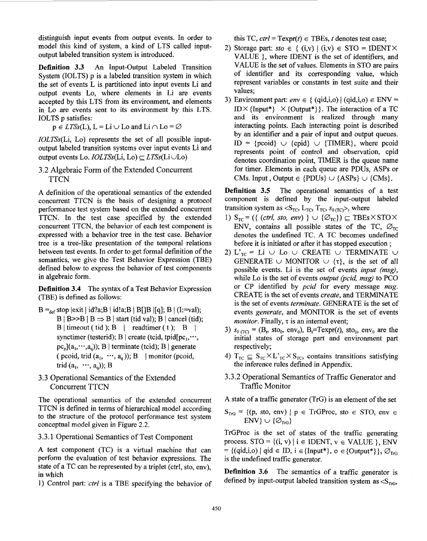distinguish input events from output events. In order to model this kind of system, a kind of LTS called inputoutput labeled transition system is introduced.

**Definition 3.3** An Input-Output Labeled Transition System (IOLTS) p is a labeled transition system in which the set of events L **is** partitioned into input events Li and output events Lo, where elements in Li are events accepted by this LTS from its environment, and elements in Lo are events sent to its environment by this LTS. IOLTS p satisfies:

 $p \in LTSs(L)$ ,  $L = Li \cup Lo$  and  $Li \cap Lo = \emptyset$ 

IOLTSs(Li, Lo) represents the set of all possible inputoutput labeled transition systems over input events Li and output events Lo.  $IOLTSs(Li, Lo) \subset LTSs(Li\cup Lo)$ 

3.2 Algebraic Form of the Extended Concurrent **TTCN** 

A definition of the operational semantics of the extended concurrent TTCN is the basis of designing a protocol performance test system based on the extended concurrent TTCN. In the test case specified by the extended concurrent TTCN, the behavior of each test component is expressed with a behavior tree in the test case. Behavior tree is a tree-like presentation of the temporal relations between test events. In order to get formal definition of the semantics, we give the Test Behavior Expression (TBE) defined below to express the behavior of test components in algebraic form.

**Definition 3.4** The syntax of a Test Behavior Expression (TBE) is defined as follows:

- $B =_{def}$  stop  $|exit | id?a; B | id!a; B | B[]B | [q]; B | (I:=val);$  $B | B \Rightarrow B | B \Rightarrow B$  start (tid val); B | cancel (tid);  $B |$  timeout ( tid );  $B |$  readtimer ( t );  $B |$ synctimer (testerid); B | create (tcid, tpid $[pc_1, \dots,$  $pc<sub>n</sub>](a<sub>1</sub>,...,a<sub>n</sub>)$ ; B | terminate (tcid); B | generate ( pcoid, trid  $(a_1, \dots, a_n)$ ); B 1 monitor (pcoid, trid  $(a_1, \dots, a_n)$ ; B
- **3.3** Operational Semantics of the Extended Concurrent TTCN

The operational semantics of the extended concurrent TTCN is defined in terms of hierarchical model according to the structure of the protocol performance test system conceptual model given in [Figure 2.2.](#page-2-0)

3.3.1 Operational Semantics of Test Component

**A** test component (TC) is a virtual machine that can perform the evaluation of test behavior expressions. The state of a TC can be represented by a triplet (ctrl, sto, env), in which

1) Control part: *'ctrl* is a TBE specifying the behavior of

this TC,  $ctrl = \text{Texpr}(t) \in \text{TBEs}$ , t denotes test case;

- 2) Storage part:  $sto \in \{ (i,v) | (i,v) \in STO = IDENT \times$ VALUE }, where IDENT is the set of identifiers, and VALUE is the set of values. Elements in STO are pairs of identifier and its corresponding value, which represent variables or constants in test suite and their values;
- 3) **Environment part:**  $env \in \{ (qid,i,o) | (qid,i,o) \in \text{ENV} = \}$  $ID \times \{Input^*\} \times \{Output^*\}$ . The interaction of a TC and its environment is realized through many interacting points. Each interacting point is described by an identifier and a pair of input and output queues. ID = {pcoid}  $\cup$  {cpid}  $\cup$  {TIMER}, where pcoid represents point of control and observation, cpid denotes coordination point, TIMER is the queue name for timer. Elements in each queue are PDUs, **ASPs** or CMs. Input, Output  $\in$  {PDUs}  $\cup$  {ASPs}  $\cup$  {CMs}.

**Definition 3.5** The operational semantics of a test component is defined by the input-output labeled transition system as <S<sub>TC</sub>, L<sub>TC</sub>, T<sub>TC</sub>,  $s_{0(TC)}$ , where

- 1)  $S_{TC} = (\{ (ctrl, sto, env) \} \cup \{ \emptyset_{TC} \}) \subseteq TBEs \times STOX$ ENV, contains all possible states of the TC,  $\mathcal{O}_{TC}$ denotes the undefined TC. A TC becomes undefined before it is initiated or after it has stopped execution ;
- 2)  $L_{TC}^* = Li \cup Lo \cup CREATE \cup TERMINATE \cup$ GENERATE  $\cup$  MONITOR  $\cup$  { $\tau$ }, is the set of all possible events. Li is the set of events *input (msg)*, while Lo is the set of events *output* (pcid, msg) to PCO or CP identified by *pcid* for every message *msg.*  CREATE is the set of events *create*, and TERMINATE is the set of events terminate. GENERATE is the set of events generate, and MONITOR is the set of events monitor. Finally,  $\tau$  is an internal event;
- 3)  $s_{0}$  (TC) = (B<sub>t</sub>, sto<sub>0</sub>, env<sub>0</sub>), B<sub>t</sub>=Texpr(*t*), sto<sub>0</sub>, env<sub>0</sub> are the initial states of storage part and environment part respectively;
- 4)  $T_{TC} \subseteq S_{TC} \times L'_{TC} \times S_{TC}$ , contains transitions satisfying the inference rules defined in Appendix.
- 3.3.2 Operational Semantics of Traffic Generator and Traffic Monitor

A state of a traffic generator (TrG) is an element of the set

 $S_{\text{TrG}}$  = {(p, sto, env) | p  $\in$  TrGProc, sto  $\in$  STO, env  $\in$  $ENV\} \cup {\emptyset}_{\text{tra}}$ 

TrGProc is the set of states of the traffic generating process.  $STO = \{(i, v) | i \in IDENT, v \in VALUE \}$ , ENV  $= \{(\text{qid}, i, o) \mid \text{qid} \in \text{ID}, i \in \{\text{Input*}\}, o \in \{\text{Output*}\}\}, \varnothing_{\text{TrG}}\}$ is the undefined traffic generator.

**Definition 3.6** The semantics of a traffic generator is defined by input-output labeled transition system as  $\langle S_{TrG},$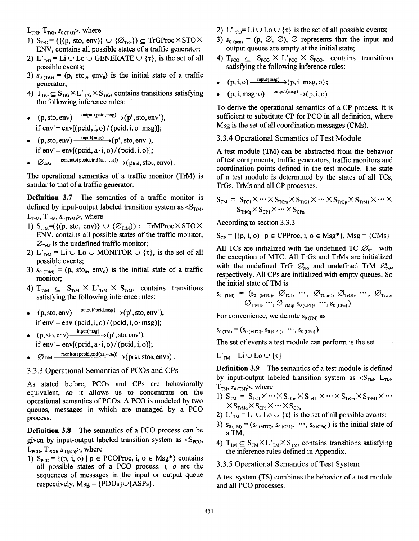$L_{\text{TrG}}$ ,  $T_{\text{TrG}}$ ,  $s_{0 \text{ (TrG)}}$ , where

- 1)  $S_{TrG} = (\{(p, sto, env)\} \cup \{\varnothing_{TrG}\}) \subseteq TrGProc \times STO \times$ **ENV,** contains all possible states of a traffic generator;
- 2) L'<sub>TrG</sub> = Li  $\cup$  Lo  $\cup$  GENERATE  $\cup$  { $\tau$ }, is the set of all possible events;
- 3)  $s_{0 \text{ (TrG)}} = (p, \text{ sto}_{0}, \text{env}_{0})$  is the initial state of a traffic generator;
- 4)  $T_{\text{TrG}} \subseteq S_{\text{TrG}} \times L'_{\text{TrG}} \times S_{\text{TrG}}$ , contains transitions satisfying the following inference rules:
- (p, sto, env)  $\frac{\text{output}(\text{pcid},\text{msg})}{\text{output}(\text{prid},\text{msg})}$  (p', sto, env'). if  $env' = env[(pcid, i, o) / (pcid, i, o \cdot msg)]$ ;
- $(p, sto, env)$   $\frac{input(msg)}{p}$   $\rightarrow$   $(p', sto, env'),$ if  $env' = env[(pcid, a \cdot i, o) / (pcid, i, o)];$
- $\varnothing$ TrG  $\qquad \frac{\text{generate}(\text{pcoil}, \text{trid}(a_1, \cdots, a_q))}{\text{ptrid}}, \text{stoo}, \text{env0)}$ .

The operational semantics of a traffic monitor (TrM) is similar to that of a traffic generator.

**Definition 3.7** The semantics of a traffic monitor is defined by input-output labeled transition system as  $\langle S_{T_{rM}}$ ,  $L_{\text{TrM}}$ ,  $T_{\text{TrM}}$ ,  $s_{0 \text{(TrM)}}$ , where

- 1)  $S_{TrM}$ = $({p, sto, env}) \cup { \varnothing_{TrM}}$   $\subseteq$  TrMProc  $\times$  STO  $\times$ ENV, contains all possible states of the traffic monitor,  $\varnothing_{TrM}$  is the undefined traffic monitor;
- 2) L'<sub>TrM</sub> = Li  $\cup$  Lo  $\cup$  MONITOR  $\cup$  { $\tau$ }, is the set of all possible events;
- 3)  $s_{0(TrM)} = (p, sto_0, env_0)$  is the initial state of a traffic monitor;
- 4)  $T_{TrM} \subseteq S_{TrM} \times L_{TrM} \times S_{TrM}$ , contains transitions satisfying the following inference rules:
- $(p, sto, env) \xrightarrow{\text{output}( \text{pcid}, \text{msg})} (p', sto, env'),$  $\bullet$ if  $env' = env[(pcid, i, o)/(pcid, i, o·msg)];$
- if  $env' = env[(pcid, a \cdot i, o) / (pcid, i, o)];$  $(p, \text{sto}, \text{env}) \xrightarrow{\text{input}(\text{msg})} (p', \text{sto}, \text{env}'),$
- $\varnothing$ T<sub>r</sub>M  $\frac{\text{monitor}(\text{pcold}, \text{trid}(a_1, \cdots, a_q))}{\varnothing}$  ( ptrid, stoo, envo).
- **3.3.3** Operational Semantics of PCOs and CPs

As stated before, PCOs and CPs are behaviorally equivalent, so it allows us to concentrate on the operational semantics of PCOs. A PCO is modeled by two queues, messages in which are managed by a PCO process.

**Definition 3.8** The semantics of a PCO process can be given by input-output labeled transition system as  $\langle S_{PCO}$ ,  $L_{PCO}$ ,  $T_{PCO}$ ,  $s_{0 (pco)}$ , where

1)  $S_{PCO}$  = {(p, i, o) | p  $\in$  PCOProc, i, o  $\in$  Msg\*} contains all possible states of a PCO process. *i, o* are the sequences of messages in the input or output queue respectively. Msg =  ${PDUs}\cup {ASPs}$ .

- 2) L'<sub>PCO</sub>= Li  $\cup$  Lo  $\cup$  { $\tau$ } is the set of all possible events;
- 3)  $s_{0 \text{ (nco)}} = (p, \emptyset, \emptyset)$ ,  $\emptyset$  represents that the input and output queues are empty at the initial state;
- 4)  $T_{\text{PCO}} \subseteq S_{\text{PCO}} \times L_{\text{PCO}} \times S_{\text{PCO}}$ , contains transitions satisfying the following inference rules:
- $(p, i, o) \xrightarrow{\text{input}(\text{msg})} (p, i \cdot \text{msg}, o)$ ;
- $(p, i, msg \cdot o) \xrightarrow{\text{output} (msg)} (p, i, o)$ .

To derive the operational semantics of a CP process, it is sufficient to substitute CP for PCO in all definition, where Msg is the set of all coordination messages (CMs).

3.3.4 Operational Semantics of Test Module

A test module (TM) can be abstracted from the behavior of test components, traffic generators, traffic monitors and coordination points defined in the test module. The state of a test module is determined by the states of all TCs, TrGs, TrMs and all CP processes.

$$
S_{TM} = S_{TC1} \times \cdots \times S_{TCm} \times S_{TrG1} \times \cdots \times S_{TrGp} \times S_{TrM1} \times \cdots \times S_{TrMq} \times S_{CrM1} \times \cdots \times S_{CrMq}
$$

According to section 3.3.3

$$
S_{CP} = \{(p, i, o) | p \in CPProc, i, o \in Msg^*\}, Msg = \{CMS\}
$$

All TCs are initialized with the undefined TC  $\mathcal{D}_r$  with the exception of MTC. All TrGs and TrMs are initialized with the undefined TrG  $\mathcal{O}_{\!nG}$  and undefined TrM  $\mathcal{O}_{\!nM}$ respectively. All CPs are initialized with empty queues. So the initial state of TM is

$$
S_{0 (TM)} = (S_{0 (MTC)}, \mathcal{O}_{TC1}, \cdots, \mathcal{O}_{TCm-1}, \mathcal{O}_{TG1}, \cdots, \mathcal{O}_{TrGp},
$$
  

$$
\mathcal{O}_{TrM1}, \cdots, \mathcal{O}_{TrMq}, S_{0 (CP1)}, \cdots, S_{0 (CPn)})
$$

For convenience, we denote  $s_{0,TM}$  as

 $S_{0 (TM)} = (S_{0 (MTC)}, S_{0 (CP1)}, \dots, S_{0 (CPn)})$ 

The set of events a test module can perform is the set

 $L<sub>TM</sub> = Li \cup Lo \cup \{\tau\}$ 

**Definition 3.9** The semantics of a test module is defined by input-output labeled transition system as  $\langle S_{TM}, L_{TM} \rangle$  $T<sub>TM</sub>$ ,  $s<sub>0 (TM)</sub>$ , where

- $\times \rm{S}_{TrMq}\times \rm{S}_{CP1}\times\cdots\times \rm{S}_{CPn}$  . 1)  $S_{TM} = S_{TC1} \times \cdots \times S_{TCm} \times S_{TrG1} \times \cdots \times S_{TrGp} \times S_{TrM1} \times \cdots$
- 2) L'<sub>TM</sub> = Li  $\cup$  Lo  $\cup$  { $\tau$ } is the set of all possible events;<br>3)  $s_{0 \text{(TM)}} = (s_{0 \text{(MTC)}, s_{0 \text{(CPI)}}, \dots, s_{0 \text{(CPh)}})$  is the initial state of
- a TM;
- 4)  $T_{TM} \subseteq S_{TM} \times L'_{TM} \times S_{TM}$ , contains transitions satisfying the inference rules defined in Appendix.
- 3.3.5 Operational Semantics of Test System

A test system (TS) combines the behavior of a test module and all PCO processes.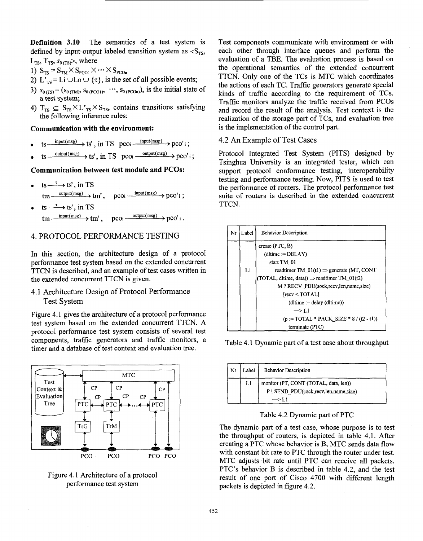**Definition 3.10** The semantics of a test system is defined by input-output labeled transition system as  $\leq S_{TS}$ ,  $L_{TS}$ ,  $T_{TS}$ ,  $s_{0(TS)}$ , where

- 1)  $S_{TS} = S_{TN} \times S_{PCO1} \times \cdots \times S_{PCOn}$
- 2) L'<sub>TS</sub> = Li  $\cup$ Lo  $\cup$  { $\tau$ }, is the set of all possible events;
- 3)  $s_{0 (TS)} = (s_{0 (TM)}, s_{0 (PCO1)}, \dots, s_{0 (PCOn)})$ , is the initial state of a test system;
- 4)  $T_{TS} \subseteq S_{TS} \times L_{TS} \times S_{TS}$ , contains transitions satisfying the following inference rules:

### **Communication with the environment:**

- $f_S$ mication with the environment:<br>  $\frac{\text{input(msg)} \rightarrow \text{ts}'}{\text{input(msg)}}$ , in TS pcoi  $\frac{\text{input(msg)} \rightarrow \text{pco}'}{\text{i}}$ ;
- $\bullet$  tsoutput(msg) ts', in TS pcoi  $\frac{\text{input(msg)}}{\text{wtput(msg)}}$  pco' i ;<br>  $\rightarrow$  ts', in TS pcoi  $\frac{\text{output(msg)}}{\text{wtput(msg)}}$  pco' i ;

## **Communication between test module and PCOs:**

- $ts \rightarrow ts'$ , in TS  $tm \xrightarrow{\text{output(msg)}}$   $tm'$ ,  $DCOi$  $\frac{\text{input(msg)}}{\text{pco}'$ i;
- $ts \rightarrow ts'$ , in TS  $tm \xrightarrow{\text{input(msg)}} tm'.$  $\frac{\text{output}(\text{msg})}{\text{pco}'i}$ .  $p_{COi}$  —

# 4. PROTOCOL PERFORMANCE TESTING

In this section, the architecture design of a protocol performance test system based on the extended concurrent TTCN is described, and an example of test cases written in the extended concurrent TTCN is given.

# 4.1 Architecture Design of Protocol Performance Test System

Figure 4.1 gives the architecture of a protocol performance test system based on the extended concurrent TTCN. **A**  protocol performance test system consists of several test components, traffic generators and traffic monitors, a timer and a database of test context and evaluation tree.



Figure 4.1 Architecture of a protocol performance test system

Test components communicate with environment or with each other through interface queues and perform the evaluation of a TBE. The evaluation process is based on the operational semantics of the extended concurrent TTCN. Only one of the TCs is MTC which coordinates the actions of each TC. Traffic generators generate special kinds of traffic according to the requirement of TCs. Traffic monitors analyze the traffic received from PCOs and record the result of the analysis. Test context is the realization of the storage part of TCs, and evaluation tree is the implementation of the control part.

### 4.2 An Example of Test Cases

Protocol Integrated Test System (PITS) designed by Tsinghua University is an integrated tester, which can support protocol conformance testing, interoperability testing and performance testing. Now, PITS is used to test the performance of routers. The protocol performance test suite of routers is described in the extended concurrent TTCN.

| Nr | Label | <b>Behavior Description</b>                              |
|----|-------|----------------------------------------------------------|
|    |       | create $(PTC, B)$                                        |
|    |       | $(d$ ltime := DELAY)                                     |
|    |       | start TM 01                                              |
|    | L1    | readtimer TM $01(t1) \Rightarrow$ generate (MT, CONT     |
|    |       | (TOTAL, ditime, data)) $\Rightarrow$ readtimer TM_01(t2) |
|    |       | M ? RECV PDU(sock, recv, len, name, size)                |
|    |       | [recv < TOTAL]                                           |
|    |       | $(dltime := delay(dltime))$                              |
|    |       | $\rightarrow$ Li                                         |
|    |       | $(p := TOTAL * PACK SIZE * 8 / (2 - t1))$                |
|    |       | terminate (PTC)                                          |

Table 4.1 Dynamic part of a test case about throughput

| Nr | Label | <b>Behavior Description</b>           |
|----|-------|---------------------------------------|
|    | Ll    | monitor (PT, CONT (TOTAL, data, len)) |
|    |       | P! SEND_PDU(sock,recv,len,name,size)  |

Table 4.2 Dynamic part of PTC

The dynamic part of a test case, whose purpose is to test the throughput of routers, is depicted in table 4.1. After creating a PTC whose behavior is B, MTC sends data flow with constant bit rate to PTC through the router under test. MTC adjusts bit rate until PTC can receive all packets. PTC's behavior B is described in table 4.2, and the test result of one port of Cisco 4700 with different length packets is depicted in figure 4.2.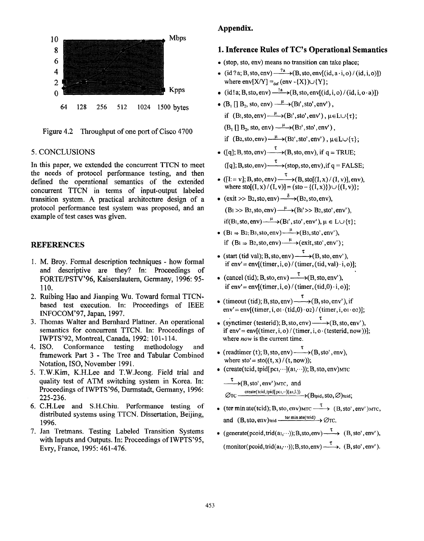

Figure 4.2 Throughput of one port of Cisco 4700

#### *5.* CONCLUSIONS

In this paper, we extended the concurrent TTCN to meet the needs of protocol performance testing, and then defined the operational semantics of the extended concurrent TTCN in terms of input-output labeled transition system. **A** practical architecture design of a protocol performance test system was proposed, and an example of test cases was given.

### **REFERENCES**

- 1. M. Broy. Formal description techniques how formal and descriptive are they? In: Proceedings of FORTEPSTV'96, Kaiserslautem, Germany, 1996: 95- 110.
- 2. Ruibing Hao and Jianping Wu. Toward formal TTCNbased test execution. In: Proceedings of IEEE INFOCOM'97, Japan, 1997.
- **3.**  Thomas Walter and Bernhard Plattner. An operational semantics for concurrent TTCN. In: Proceedings of IWPTS'92, Montreal, Canada, 1992: 101-1 14.
- 4. Conformance testing methodology and framework Part **3** - The Tree and Tabular Combined Notation, ISO, November 1991.
- *5.*  T.W.Kim, K.H.Lee and T.W.Jeong. Field trial and quality test of ATM switching system in Korea. In: Proceedings of IWPTS'96, Darmstadt, Germany, 1996: 225-23 6.
- 6. C.H.Lee and S.H.Chiu. Performance testing **of**  distributed systems using TTCN. Dissertation, Beijing, 1996.
- 7. Jan Tretmans. Testing Labeled Transition Systems with Inputs and Outputs. In: Proceedings of IWPTS'95, Evry, France, 1995: 461-476.

### **Appendix.**

### **1. Inference Rules of TC's Operational Semantics**

- **0** (stop, sto, env) means no transition can take place;
- (id ?a; B, sto, env)  $\frac{?a}{?}$  (B, sto, env[(id, a. i, o) / (id, i, o)]) where  $env[X/Y] =_{def} (env - {X}) \cup {Y};$
- $\bullet$  (id!a; B, sto, env)  $\xrightarrow{!a}$  (B, sto, env[(id, i, o)/(id, i, o·a)])
- $\bullet$  (B<sub>1</sub> [] B<sub>2</sub>, sto, env)  $\xrightarrow{\mu}$  (B<sub>1</sub>', sto', env'),
	- if  $(B_1,sto,env) \xrightarrow{\mu} (B_1',sto',env')$ ,  $\mu \in L \cup \{\tau\}$ ;
- $(B_1 \cap B_2, \text{sto}, \text{env}) \xrightarrow{\mu} (B_2', \text{sto}', \text{env}')$ ,
- if  $(B_2, sto, env) \xrightarrow{\mu} (B_2', sto', env')$ ,  $\mu \in L \cup \{\tau\};$
- ([q]; B, sto, env)  $\xrightarrow{\tau}$  (B, sto, env), if q = TRUE;  $\text{(Iq)}$ ; B, sto, env)  $\xrightarrow{\tau}$  (stop, sto, env), if  $q =$  **FALSE**;
- $([I:= v]; B, sto, env)$   $\longrightarrow$   $(B, sto[(I, x)/(I, v)], env),$ where sto[(I, x)/(I, v)] = (sto – {(I, x)})  $\cup$  {(I, v)}; **T**
- $(exit \gg B_2, sto,env) \xrightarrow{\delta} (B_2,sto,env),$ 
	- $(B<sub>1</sub>> B<sub>2</sub>, sto,env) \xrightarrow{\mu} (B<sub>1</sub>'>> B<sub>2</sub>,sto',env'),$
	- if(B<sub>1</sub>, sto, env) $\xrightarrow{\mu}$ (B<sub>1</sub>', sto', env'),  $\mu \in L \cup \{\tau\}$ ;
- if  $(B_1 \Rightarrow B_2$ , sto, env)  $\xrightarrow{\mu}$  (exit, sto', env');  $\bullet$   $(B_i \Rightarrow B_2; B_3$ , sto, env $\rightarrow$   $(B_3, \text{sto}', \text{env}')$ ,
- (start (tid val); B, sto,  $env$ )  $\xrightarrow{\tau}$  (B, sto,  $env'$ ), if  $env' = env[(timer, i, o) / (timer, (tid, val) \cdot i, o)];$
- (cancel (tid); B, sto, env)  $\xrightarrow{\tau}$  (B, sto, env'), if  $env' = env[(time,i,o)/(time, (tid,0) \cdot i,o)]$ ;
- (timeout (tid); B, sto, env)  $\xrightarrow{\tau}$  (B, sto, en  $env' = env[(timer, i, o1 \cdot (tid, 0) \cdot o2) / (timer, i, o1 \cdot o2)];$
- (synctimer (testerid); B, sto, env)  $\xrightarrow{\tau}$  (B, sto, env'), if  $env' = env[(time,i,o)/(time,i,o-(testerid,now))];$ where *now* is the current time.
- (readtimer (t); B, sto, env)  $\xrightarrow{\tau}$  (B, sto where  $sto' = sto((t, x)/(t, now));$
- $\bullet$  (create(tcid, tpid[pci, $\cdots$ ](ai, $\cdots$ )); B, sto, env)MTC

 $\xrightarrow{\tau}$ (B, sto', env')MTC, and  $\varnothing$ TC  $\overline{\phantom{0}}$   $\cdots$  create(tcid,tpid[pci, $\cdots$ ](ai,L))  $\rightarrow$  (Btpid, StO,  $\varnothing$ )tcid;

- (ter min ate(tcid); B, sto, env)MTC  $\xrightarrow{\tau}$  (B, sto', env')MTC, and  $(B, \text{sto}, \text{env})$ teid  $\xrightarrow{\text{ter min ate}(\text{teid})} \rightarrow \emptyset$ TC.
- (generate(pcoid,trid(a<sub>1</sub>, ...)); B, sto, env)  $\xrightarrow{\tau}$  (B, sto', env'), (monitor(pcoid,trid(a<sub>1</sub>, ...)); B,sto,env)  $\xrightarrow{\tau}$ , (B, sto', env').